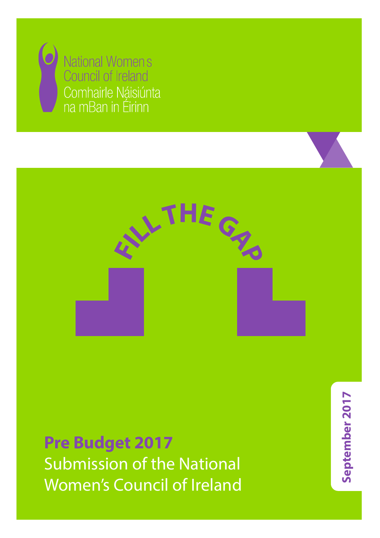



 $R$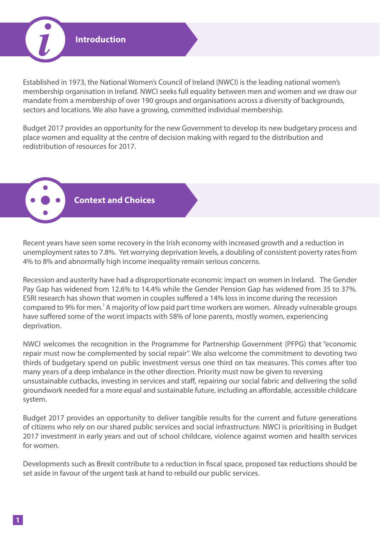

Established in 1973, the National Women's Council of Ireland (NWCI) is the leading national women's membership organisation in Ireland. NWCI seeks full equality between men and women and we draw our mandate from a membership of over 190 groups and organisations across a diversity of backgrounds, sectors and locations. We also have a growing, committed individual membership.

Budget 2017 provides an opportunity for the new Government to develop its new budgetary process and place women and equality at the centre of decision making with regard to the distribution and redistribution of resources for 2017.

**Context and Choices**

Recent years have seen some recovery in the Irish economy with increased growth and a reduction in unemployment rates to 7.8%. Yet worrying deprivation levels, a doubling of consistent poverty rates from 4% to 8% and abnormally high income inequality remain serious concerns.

Recession and austerity have had a disproportionate economic impact on women in Ireland. The Gender Pay Gap has widened from 12.6% to 14.4% while the Gender Pension Gap has widened from 35 to 37%. ESRI research has shown that women in couples suffered a 14% loss in income during the recession compared to 9% for men.<sup>1</sup> A majority of low paid part time workers are women. Already vulnerable groups have suffered some of the worst impacts with 58% of lone parents, mostly women, experiencing deprivation.

NWCI welcomes the recognition in the Programme for Partnership Government (PFPG) that "economic repair must now be complemented by social repair". We also welcome the commitment to devoting two thirds of budgetary spend on public investment versus one third on tax measures. This comes after too many years of a deep imbalance in the other direction. Priority must now be given to reversing unsustainable cutbacks, investing in services and staff, repairing our social fabric and delivering the solid groundwork needed for a more equal and sustainable future, including an affordable, accessible childcare system.

Budget 2017 provides an opportunity to deliver tangible results for the current and future generations of citizens who rely on our shared public services and social infrastructure. NWCI is prioritising in Budget 2017 investment in early years and out of school childcare, violence against women and health services for women.

Developments such as Brexit contribute to a reduction in fiscal space, proposed tax reductions should be set aside in favour of the urgent task at hand to rebuild our public services.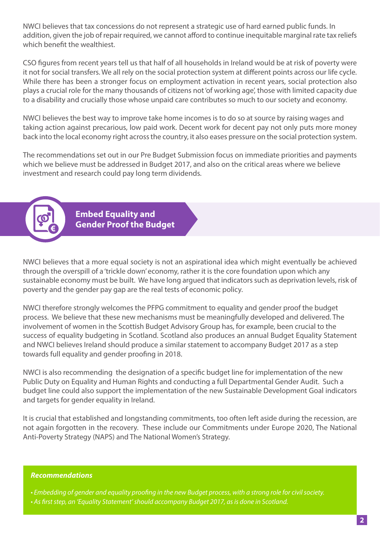NWCI believes that tax concessions do not represent a strategic use of hard earned public funds. In addition, given the job of repair required, we cannot afford to continue inequitable marginal rate tax reliefs which benefit the wealthiest.

CSO figures from recent years tell us that half of all households in Ireland would be at risk of poverty were it not for social transfers. We all rely on the social protection system at different points across our life cycle. While there has been a stronger focus on employment activation in recent years, social protection also plays a crucial role for the many thousands of citizens not 'of working age', those with limited capacity due to a disability and crucially those whose unpaid care contributes so much to our society and economy.

NWCI believes the best way to improve take home incomes is to do so at source by raising wages and taking action against precarious, low paid work. Decent work for decent pay not only puts more money back into the local economy right across the country, it also eases pressure on the social protection system.

The recommendations set out in our Pre Budget Submission focus on immediate priorities and payments which we believe must be addressed in Budget 2017, and also on the critical areas where we believe investment and research could pay long term dividends.

> **Embed Equality and Gender Proof the Budget**

NWCI believes that a more equal society is not an aspirational idea which might eventually be achieved through the overspill of a 'trickle down' economy, rather it is the core foundation upon which any sustainable economy must be built. We have long argued that indicators such as deprivation levels, risk of poverty and the gender pay gap are the real tests of economic policy.

NWCI therefore strongly welcomes the PFPG commitment to equality and gender proof the budget process. We believe that these new mechanisms must be meaningfully developed and delivered. The involvement of women in the Scottish Budget Advisory Group has, for example, been crucial to the success of equality budgeting in Scotland. Scotland also produces an annual Budget Equality Statement and NWCI believes Ireland should produce a similar statement to accompany Budget 2017 as a step towards full equality and gender proofing in 2018.

NWCI is also recommending the designation of a specific budget line for implementation of the new Public Duty on Equality and Human Rights and conducting a full Departmental Gender Audit. Such a budget line could also support the implementation of the new Sustainable Development Goal indicators and targets for gender equality in Ireland.

It is crucial that established and longstanding commitments, too often left aside during the recession, are not again forgotten in the recovery. These include our Commitments under Europe 2020, The National Anti-Poverty Strategy (NAPS) and The National Women's Strategy.

#### *Recommendations*

**€**

*• Embedding of gender and equality proofing in the new Budget process, with a strong role for civil society. • As first step, an 'Equality Statement' should accompany Budget 2017, as is done in Scotland.*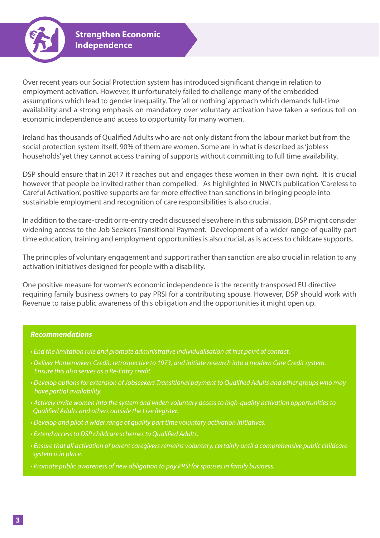

Over recent years our Social Protection system has introduced significant change in relation to employment activation. However, it unfortunately failed to challenge many of the embedded assumptions which lead to gender inequality. The 'all or nothing' approach which demands full-time availability and a strong emphasis on mandatory over voluntary activation have taken a serious toll on economic independence and access to opportunity for many women.

Ireland has thousands of Qualified Adults who are not only distant from the labour market but from the social protection system itself, 90% of them are women. Some are in what is described as 'jobless households' yet they cannot access training of supports without committing to full time availability.

DSP should ensure that in 2017 it reaches out and engages these women in their own right. It is crucial however that people be invited rather than compelled. As highlighted in NWCI's publication 'Careless to Careful Activation', positive supports are far more effective than sanctions in bringing people into sustainable employment and recognition of care responsibilities is also crucial.

In addition to the care-credit or re-entry credit discussed elsewhere in this submission, DSP might consider widening access to the Job Seekers Transitional Payment. Development of a wider range of quality part time education, training and employment opportunities is also crucial, as is access to childcare supports.

The principles of voluntary engagement and support rather than sanction are also crucial in relation to any activation initiatives designed for people with a disability.

One positive measure for women's economic independence is the recently transposed EU directive requiring family business owners to pay PRSI for a contributing spouse. However, DSP should work with Revenue to raise public awareness of this obligation and the opportunities it might open up.

- *End the limitation rule and promote administrative Individualisation at first point of contact.*
- *Deliver Homemakers Credit, retrospective to 1973, and initiate research into a modern Care Credit system. Ensure this also serves as a Re-Entry credit.*
- *Develop options for extension of Jobseekers Transitional payment to Qualified Adults and other groups who may have partial availability.*
- *Actively invite women into the system and widen voluntary access to high-quality activation opportunities to Qualified Adults and others outside the Live Register.*
- *Develop and pilot a wider range of quality part time voluntary activation initiatives.*
- *Extend access to DSP childcare schemes to Qualified Adults.*
- *Ensure that all activation of parent caregivers remains voluntary, certainly until a comprehensive public childcare system is in place.*
- *Promote public awareness of new obligation to pay PRSI for spouses in family business.*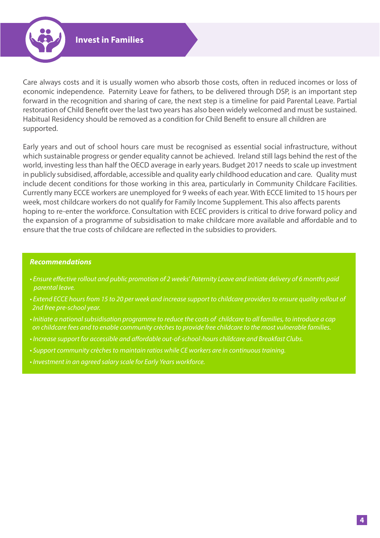

Care always costs and it is usually women who absorb those costs, often in reduced incomes or loss of economic independence. Paternity Leave for fathers, to be delivered through DSP, is an important step forward in the recognition and sharing of care, the next step is a timeline for paid Parental Leave. Partial restoration of Child Benefit over the last two years has also been widely welcomed and must be sustained. Habitual Residency should be removed as a condition for Child Benefit to ensure all children are supported.

Early years and out of school hours care must be recognised as essential social infrastructure, without which sustainable progress or gender equality cannot be achieved. Ireland still lags behind the rest of the world, investing less than half the OECD average in early years. Budget 2017 needs to scale up investment in publicly subsidised, affordable, accessible and quality early childhood education and care. Quality must include decent conditions for those working in this area, particularly in Community Childcare Facilities. Currently many ECCE workers are unemployed for 9 weeks of each year. With ECCE limited to 15 hours per week, most childcare workers do not qualify for Family Income Supplement. This also affects parents hoping to re-enter the workforce. Consultation with ECEC providers is critical to drive forward policy and the expansion of a programme of subsidisation to make childcare more available and affordable and to ensure that the true costs of childcare are reflected in the subsidies to providers.

- *Ensure effective rollout and public promotion of 2 weeks' Paternity Leave and initiate delivery of 6 months paid parental leave.*
- *Extend ECCE hours from 15 to 20 per week and increase support to childcare providers to ensure quality rollout of 2nd free pre-school year.*
- *Initiate a national subsidisation programme to reduce the costs of childcare to all families, to introduce a cap on childcare fees and to enable community crèches to provide free childcare to the most vulnerable families.*
- *Increase support for accessible and affordable out-of-school-hours childcare and Breakfast Clubs.*
- *Support community crèches to maintain ratios while CE workers are in continuous training.*
- *Investment in an agreed salary scale for Early Years workforce.*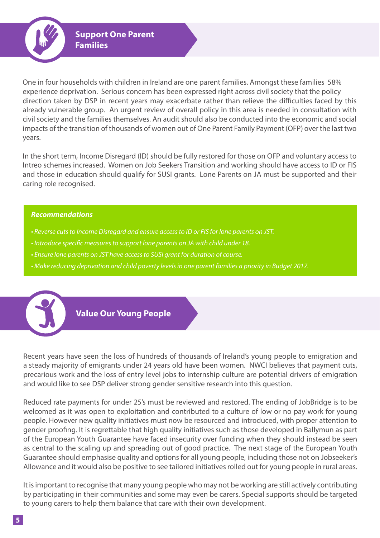

**Support One Parent Families** 

One in four households with children in Ireland are one parent families. Amongst these families 58% experience deprivation. Serious concern has been expressed right across civil society that the policy direction taken by DSP in recent years may exacerbate rather than relieve the difficulties faced by this already vulnerable group. An urgent review of overall policy in this area is needed in consultation with civil society and the families themselves. An audit should also be conducted into the economic and social impacts of the transition of thousands of women out of One Parent Family Payment (OFP) over the last two years.

In the short term, Income Disregard (ID) should be fully restored for those on OFP and voluntary access to Intreo schemes increased. Women on Job Seekers Transition and working should have access to ID or FIS and those in education should qualify for SUSI grants. Lone Parents on JA must be supported and their caring role recognised.

### *Recommendations*

- *Reverse cuts to Income Disregard and ensure access to ID or FIS for lone parents on JST.*
- *Introduce specific measures to support lone parents on JA with child under 18.*
- *Ensure lone parents on JST have access to SUSI grant for duration of course.*
- *Make reducing deprivation and child poverty levels in one parent families a priority in Budget 2017.*



# **Value Our Young People**

Recent years have seen the loss of hundreds of thousands of Ireland's young people to emigration and a steady majority of emigrants under 24 years old have been women. NWCI believes that payment cuts, precarious work and the loss of entry level jobs to internship culture are potential drivers of emigration and would like to see DSP deliver strong gender sensitive research into this question.

Reduced rate payments for under 25's must be reviewed and restored. The ending of JobBridge is to be welcomed as it was open to exploitation and contributed to a culture of low or no pay work for young people. However new quality initiatives must now be resourced and introduced, with proper attention to gender proofing. It is regrettable that high quality initiatives such as those developed in Ballymun as part of the European Youth Guarantee have faced insecurity over funding when they should instead be seen as central to the scaling up and spreading out of good practice. The next stage of the European Youth Guarantee should emphasise quality and options for all young people, including those not on Jobseeker's Allowance and it would also be positive to see tailored initiatives rolled out for young people in rural areas.

It is important to recognise that many young people who may not be working are still actively contributing by participating in their communities and some may even be carers. Special supports should be targeted to young carers to help them balance that care with their own development.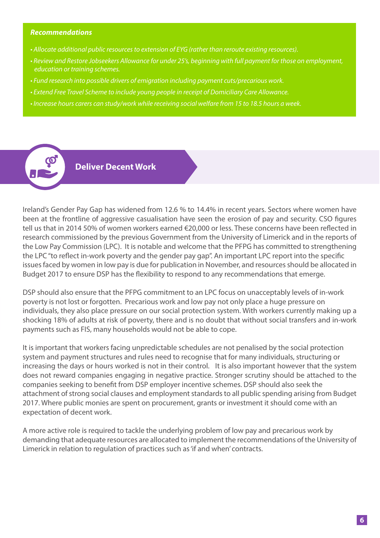- *Allocate additional public resources to extension of EYG (rather than reroute existing resources).*
- *Review and Restore Jobseekers Allowance for under 25's, beginning with full payment for those on employment, education or training schemes.*
- *Fund research into possible drivers of emigration including payment cuts/precarious work.*
- *Extend Free Travel Scheme to include young people in receipt of Domiciliary Care Allowance.*
- *Increase hours carers can study/work while receiving social welfare from 15 to 18.5 hours a week.*



# **Deliver Decent Work**

Ireland's Gender Pay Gap has widened from 12.6 % to 14.4% in recent years. Sectors where women have been at the frontline of aggressive casualisation have seen the erosion of pay and security. CSO figures tell us that in 2014 50% of women workers earned €20,000 or less. These concerns have been reflected in research commissioned by the previous Government from the University of Limerick and in the reports of the Low Pay Commission (LPC). It is notable and welcome that the PFPG has committed to strengthening the LPC "to reflect in-work poverty and the gender pay gap". An important LPC report into the specific issues faced by women in low pay is due for publication in November, and resources should be allocated in Budget 2017 to ensure DSP has the flexibility to respond to any recommendations that emerge.

DSP should also ensure that the PFPG commitment to an LPC focus on unacceptably levels of in-work poverty is not lost or forgotten. Precarious work and low pay not only place a huge pressure on individuals, they also place pressure on our social protection system. With workers currently making up a shocking 18% of adults at risk of poverty, there and is no doubt that without social transfers and in-work payments such as FIS, many households would not be able to cope.

It is important that workers facing unpredictable schedules are not penalised by the social protection system and payment structures and rules need to recognise that for many individuals, structuring or increasing the days or hours worked is not in their control. It is also important however that the system does not reward companies engaging in negative practice. Stronger scrutiny should be attached to the companies seeking to benefit from DSP employer incentive schemes. DSP should also seek the attachment of strong social clauses and employment standards to all public spending arising from Budget 2017. Where public monies are spent on procurement, grants or investment it should come with an expectation of decent work.

A more active role is required to tackle the underlying problem of low pay and precarious work by demanding that adequate resources are allocated to implement the recommendations of the University of Limerick in relation to regulation of practices such as 'if and when' contracts.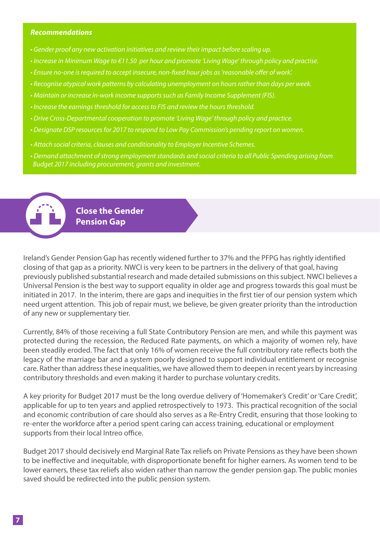- *Gender proof any new activation initiatives and review their impact before scaling up.*
- *Increase in Minimum Wage to €11.50 per hour and promote 'Living Wage' through policy and practise.*
- *Ensure no-one is required to accept insecure, non-fixed hour jobs as 'reasonable offer of work'.*
- *Recognise atypical work patterns by calculating unemployment on hours rather than days per week.*
- *Maintain or increase in-work income supports such as Family Income Supplement (FIS).*
- *Increase the earnings threshold for access to FIS and review the hours threshold.*
- *Drive Cross-Departmental cooperation to promote 'Living Wage' through policy and practice.*
- *Designate DSP resources for 2017 to respond to Low Pay Commission's pending report on women.*
- *Attach social criteria, clauses and conditionality to Employer Incentive Schemes.*
- *Demand attachment of strong employment standards and social criteria to all Public Spending arising from Budget 2017 including procurement, grants and investment.*

**Close the Gender Pension Gap** 

Ireland's Gender Pension Gap has recently widened further to 37% and the PFPG has rightly identified closing of that gap as a priority. NWCI is very keen to be partners in the delivery of that goal, having previously published substantial research and made detailed submissions on this subject. NWCI believes a Universal Pension is the best way to support equality in older age and progress towards this goal must be initiated in 2017. In the interim, there are gaps and inequities in the first tier of our pension system which need urgent attention. This job of repair must, we believe, be given greater priority than the introduction of any new or supplementary tier.

Currently, 84% of those receiving a full State Contributory Pension are men, and while this payment was protected during the recession, the Reduced Rate payments, on which a majority of women rely, have been steadily eroded. The fact that only 16% of women receive the full contributory rate reflects both the legacy of the marriage bar and a system poorly designed to support individual entitlement or recognise care. Rather than address these inequalities, we have allowed them to deepen in recent years by increasing contributory thresholds and even making it harder to purchase voluntary credits.

A key priority for Budget 2017 must be the long overdue delivery of 'Homemaker's Credit' or 'Care Credit', applicable for up to ten years and applied retrospectively to 1973. This practical recognition of the social and economic contribution of care should also serves as a Re-Entry Credit, ensuring that those looking to re-enter the workforce after a period spent caring can access training, educational or employment supports from their local Intreo office.

Budget 2017 should decisively end Marginal Rate Tax reliefs on Private Pensions as they have been shown to be ineffective and inequitable, with disproportionate benefit for higher earners. As women tend to be lower earners, these tax reliefs also widen rather than narrow the gender pension gap. The public monies saved should be redirected into the public pension system.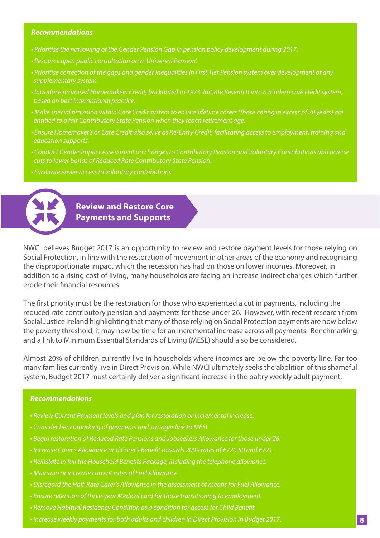- *Prioritise the narrowing of the Gender Pension Gap in pension policy development during 2017.*
- *Resource open public consultation on a 'Universal Pension'.*
- *Prioritise correction of the gaps and gender inequalities in First Tier Pension system over development of any supplementary system.*
- *Introduce promised Homemakers Credit, backdated to 1973. Initiate Research into a modern care credit system, based on best international practice.*
- *Make special provision within Care Credit system to ensure lifetime carers (those caring in excess of 20 years) are entitled to a fair Contributory State Pension when they reach retirement age.*
- *Ensure Homemaker's or Care Credit also serve as Re-Entry Credit, facilitating access to employment, training and education supports.*
- *Conduct Gender Impact Assessment on changes to Contributory Pension and Voluntary Contributions and reverse cuts to lower bands of Reduced Rate Contributory State Pension.*
- *Facilitate easier access to voluntary contributions.*



**Review and Restore Core Payments and Supports** 

NWCI believes Budget 2017 is an opportunity to review and restore payment levels for those relying on Social Protection, in line with the restoration of movement in other areas of the economy and recognising the disproportionate impact which the recession has had on those on lower incomes. Moreover, in addition to a rising cost of living, many households are facing an increase indirect charges which further erode their financial resources.

The first priority must be the restoration for those who experienced a cut in payments, including the reduced rate contributory pension and payments for those under 26. However, with recent research from Social Justice Ireland highlighting that many of those relying on Social Protection payments are now below the poverty threshold, it may now be time for an incremental increase across all payments. Benchmarking and a link to Minimum Essential Standards of Living (MESL) should also be considered.

Almost 20% of children currently live in households where incomes are below the poverty line. Far too many families currently live in Direct Provision. While NWCI ultimately seeks the abolition of this shameful system, Budget 2017 must certainly deliver a significant increase in the paltry weekly adult payment.

- *Review Current Payment levels and plan for restoration or incremental increase.*
- *Consider benchmarking of payments and stronger link to MESL.*
- *Begin restoration of Reduced Rate Pensions and Jobseekers Allowance for those under 26.*
- *Increase Carer's Allowance and Carer's Benefit towards 2009 rates of €220.50 and €221.*
- *Reinstate in full the Household Benefits Package, including the telephone allowance.*
- *Maintain or increase current rates of Fuel Allowance.*
- *Disregard the Half-Rate Carer's Allowance in the assessment of means for Fuel Allowance.*
- *Ensure retention of three-year Medical card for those transitioning to employment.*
- *Remove Habitual Residency Condition as a condition for access for Child Benefit.*
- *Increase weekly payments for both adults and children in Direct Provision in Budget 2017.* **8**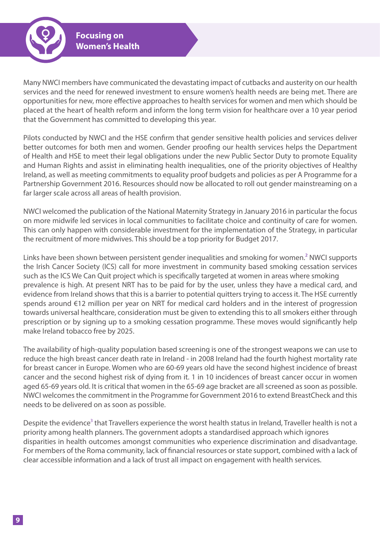

Many NWCI members have communicated the devastating impact of cutbacks and austerity on our health services and the need for renewed investment to ensure women's health needs are being met. There are opportunities for new, more effective approaches to health services for women and men which should be placed at the heart of health reform and inform the long term vision for healthcare over a 10 year period that the Government has committed to developing this year.

Pilots conducted by NWCI and the HSE confirm that gender sensitive health policies and services deliver better outcomes for both men and women. Gender proofing our health services helps the Department of Health and HSE to meet their legal obligations under the new Public Sector Duty to promote Equality and Human Rights and assist in eliminating health inequalities, one of the priority objectives of Healthy Ireland, as well as meeting commitments to equality proof budgets and policies as per A Programme for a Partnership Government 2016. Resources should now be allocated to roll out gender mainstreaming on a far larger scale across all areas of health provision.

NWCI welcomed the publication of the National Maternity Strategy in January 2016 in particular the focus on more midwife led services in local communities to facilitate choice and continuity of care for women. This can only happen with considerable investment for the implementation of the Strategy, in particular the recruitment of more midwives. This should be a top priority for Budget 2017.

Links have been shown between persistent gender inequalities and smoking for women.<sup>2</sup> NWCI supports the Irish Cancer Society (ICS) call for more investment in community based smoking cessation services such as the ICS We Can Quit project which is specifically targeted at women in areas where smoking prevalence is high. At present NRT has to be paid for by the user, unless they have a medical card, and evidence from Ireland shows that this is a barrier to potential quitters trying to access it. The HSE currently spends around €12 million per year on NRT for medical card holders and in the interest of progression towards universal healthcare, consideration must be given to extending this to all smokers either through prescription or by signing up to a smoking cessation programme. These moves would significantly help make Ireland tobacco free by 2025.

The availability of high-quality population based screening is one of the strongest weapons we can use to reduce the high breast cancer death rate in Ireland - in 2008 Ireland had the fourth highest mortality rate for breast cancer in Europe. Women who are 60-69 years old have the second highest incidence of breast cancer and the second highest risk of dying from it. 1 in 10 incidences of breast cancer occur in women aged 65-69 years old. It is critical that women in the 65-69 age bracket are all screened as soon as possible. NWCI welcomes the commitment in the Programme for Government 2016 to extend BreastCheck and this needs to be delivered on as soon as possible.

Despite the evidence<sup>3</sup> that Travellers experience the worst health status in Ireland, Traveller health is not a priority among health planners. The government adopts a standardised approach which ignores disparities in health outcomes amongst communities who experience discrimination and disadvantage. For members of the Roma community, lack of financial resources or state support, combined with a lack of clear accessible information and a lack of trust all impact on engagement with health services.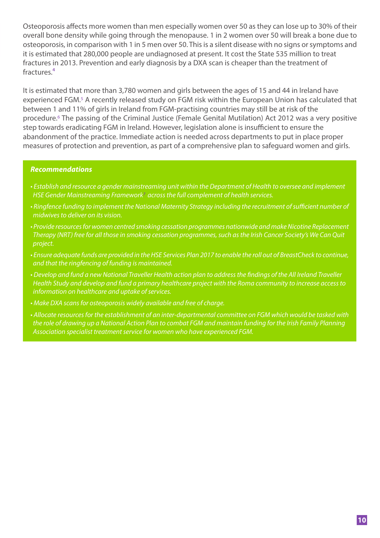Osteoporosis affects more women than men especially women over 50 as they can lose up to 30% of their overall bone density while going through the menopause. 1 in 2 women over 50 will break a bone due to osteoporosis, in comparison with 1 in 5 men over 50. This is a silent disease with no signs or symptoms and it is estimated that 280,000 people are undiagnosed at present. It cost the State 535 million to treat fractures in 2013. Prevention and early diagnosis by a DXA scan is cheaper than the treatment of fractures.<sup>4</sup>

It is estimated that more than 3,780 women and girls between the ages of 15 and 44 in Ireland have experienced FGM.5 A recently released study on FGM risk within the European Union has calculated that between 1 and 11% of girls in Ireland from FGM-practising countries may still be at risk of the procedure.6 The passing of the Criminal Justice (Female Genital Mutilation) Act 2012 was a very positive step towards eradicating FGM in Ireland. However, legislation alone is insufficient to ensure the abandonment of the practice. Immediate action is needed across departments to put in place proper measures of protection and prevention, as part of a comprehensive plan to safeguard women and girls.

- *Establish and resource a gender mainstreaming unit within the Department of Health to oversee and implement HSE Gender Mainstreaming Framework7 across the full complement of health services.*
- *Ringfence funding to implement the National Maternity Strategy including the recruitment of sufficient number of midwives to deliver on its vision.*
- *Provide resources for women centred smoking cessation programmes nationwide and make Nicotine Replacement Therapy (NRT) free for all those in smoking cessation programmes, such as the Irish Cancer Society's We Can Quit project.*
- *Ensure adequate funds are provided in the HSE Services Plan 2017 to enable the roll out of BreastCheck to continue, and that the ringfencing of funding is maintained.*
- *Develop and fund a new National Traveller Health action plan to address the findings of the All Ireland Traveller Health Study and develop and fund a primary healthcare project with the Roma community to increase access to information on healthcare and uptake of services.*
- *Make DXA scans for osteoporosis widely available and free of charge.*
- *Allocate resources for the establishment of an inter-departmental committee on FGM which would be tasked with the role of drawing up a National Action Plan to combat FGM and maintain funding for the Irish Family Planning Association specialist treatment service for women who have experienced FGM.*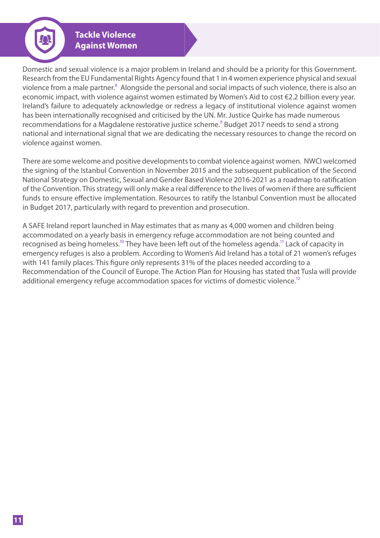**Tackle Violence Against Women** 

Domestic and sexual violence is a major problem in Ireland and should be a priority for this Government. Research from the EU Fundamental Rights Agency found that 1 in 4 women experience physical and sexual violence from a male partner.<sup>8</sup> Alongside the personal and social impacts of such violence, there is also an economic impact, with violence against women estimated by Women's Aid to cost €2.2 billion every year. Ireland's failure to adequately acknowledge or redress a legacy of institutional violence against women has been internationally recognised and criticised by the UN. Mr. Justice Quirke has made numerous recommendations for a Magdalene restorative justice scheme.<sup>9</sup> Budget 2017 needs to send a strong national and international signal that we are dedicating the necessary resources to change the record on violence against women.

There are some welcome and positive developments to combat violence against women. NWCI welcomed the signing of the Istanbul Convention in November 2015 and the subsequent publication of the Second National Strategy on Domestic, Sexual and Gender Based Violence 2016-2021 as a roadmap to ratification of the Convention. This strategy will only make a real difference to the lives of women if there are sufficient funds to ensure effective implementation. Resources to ratify the Istanbul Convention must be allocated in Budget 2017, particularly with regard to prevention and prosecution.

A SAFE Ireland report launched in May estimates that as many as 4,000 women and children being accommodated on a yearly basis in emergency refuge accommodation are not being counted and recognised as being homeless.<sup>10</sup> They have been left out of the homeless agenda.<sup>11</sup> Lack of capacity in emergency refuges is also a problem. According to Women's Aid Ireland has a total of 21 women's refuges with 141 family places. This figure only represents 31% of the places needed according to a Recommendation of the Council of Europe. The Action Plan for Housing has stated that Tusla will provide additional emergency refuge accommodation spaces for victims of domestic violence.<sup>12</sup>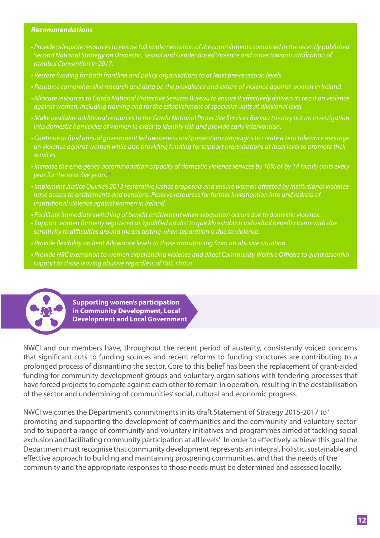- *Provide adequate resources to ensure full implementation of the commitments contained in the recently published Second National Strategy on Domestic, Sexual and Gender Based Violence and move towards ratification of Istanbul Convention in 2017.*
- *Restore funding for both frontline and policy organisations to at least pre-recession levels.*
- *Resource comprehensive research and data on the prevalence and extent of violence against women in Ireland.*
- *Allocate resources to Garda National Protective Services Bureau to ensure it effectively delivers its remit on violence against women, including training and for the establishment of specialist units at divisional level.*
- *Make available additional resources to the Garda National Protective Services Bureau to carry out an investigation into domestic homicides of women in order to identify risk and provide early intervention.*
- *Continue to fund annual government led awareness and prevention campaigns to create a zero tolerance message on violence against women while also providing funding for support organisations at local level to promote their services.*
- *Increase the emergency accommodation capacity of domestic violence services by 10% or by 14 family units every year for the next five years.13*
- *Implement Justice Quirke's 2013 restorative justice proposals and ensure women affected by institutional violence have access to entitlements and pensions. Reserve resources for further investigation into and redress of institutional violence against women in Ireland.*
- *Facilitate immediate switching of benefit entitlement when separation occurs due to domestic violence. • Support women formerly registered as 'qualified adults' to quickly establish individual benefit claims with due sensitivity to difficulties around means testing when separation is due to violence.*
- *Provide flexibility on Rent Allowance levels to those transitioning from an abusive situation.*
- *Provide HRC exemption to women experiencing violence and direct Community Welfare Officers to grant essential support to those leaving abusive regardless of HRC status.*



**Supporting women's participation in Community Development, Local Development and Local Government** 

NWCI and our members have, throughout the recent period of austerity, consistently voiced concerns that significant cuts to funding sources and recent reforms to funding structures are contributing to a prolonged process of dismantling the sector. Core to this belief has been the replacement of grant-aided funding for community development groups and voluntary organisations with tendering processes that have forced projects to compete against each other to remain in operation, resulting in the destabilisation of the sector and undermining of communities' social, cultural and economic progress.

NWCI welcomes the Department's commitments in its draft Statement of Strategy 2015-2017 to ' promoting and supporting the development of communities and the community and voluntary sector' and to 'support a range of community and voluntary initiatives and programmes aimed at tackling social exclusion and facilitating community participation at all levels'. In order to effectively achieve this goal the Department must recognise that community development represents an integral, holistic, sustainable and effective approach to building and maintaining prospering communities, and that the needs of the community and the appropriate responses to those needs must be determined and assessed locally.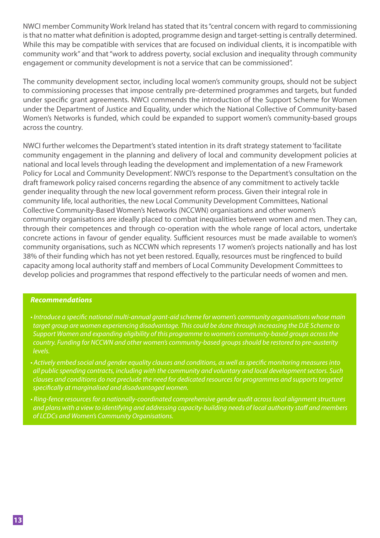NWCI member Community Work Ireland has stated that its "central concern with regard to commissioning is that no matter what definition is adopted, programme design and target-setting is centrally determined. While this may be compatible with services that are focused on individual clients, it is incompatible with community work" and that "work to address poverty, social exclusion and inequality through community engagement or community development is not a service that can be commissioned".

The community development sector, including local women's community groups, should not be subject to commissioning processes that impose centrally pre-determined programmes and targets, but funded under specific grant agreements. NWCI commends the introduction of the Support Scheme for Women under the Department of Justice and Equality, under which the National Collective of Community-based Women's Networks is funded, which could be expanded to support women's community-based groups across the country.

NWCI further welcomes the Department's stated intention in its draft strategy statement to 'facilitate community engagement in the planning and delivery of local and community development policies at national and local levels through leading the development and implementation of a new Framework Policy for Local and Community Development'. NWCI's response to the Department's consultation on the draft framework policy raised concerns regarding the absence of any commitment to actively tackle gender inequality through the new local government reform process. Given their integral role in community life, local authorities, the new Local Community Development Committees, National Collective Community-Based Women's Networks (NCCWN) organisations and other women's community organisations are ideally placed to combat inequalities between women and men. They can, through their competences and through co-operation with the whole range of local actors, undertake concrete actions in favour of gender equality. Sufficient resources must be made available to women's community organisations, such as NCCWN which represents 17 women's projects nationally and has lost 38% of their funding which has not yet been restored. Equally, resources must be ringfenced to build capacity among local authority staff and members of Local Community Development Committees to develop policies and programmes that respond effectively to the particular needs of women and men.

- *Introduce a specific national multi-annual grant-aid scheme for women's community organisations whose main target group are women experiencing disadvantage. This could be done through increasing the DJE Scheme to Support Women and expanding eligibility of this programme to women's community-based groups across the country. Funding for NCCWN and other women's community-based groups should be restored to pre-austerity levels.*
- *Actively embed social and gender equality clauses and conditions, as well as specific monitoring measures into all public spending contracts, including with the community and voluntary and local development sectors. Such clauses and conditions do not preclude the need for dedicated resources for programmes and supports targeted specifically at marginalised and disadvantaged women.*
- *Ring-fence resources for a nationally-coordinated comprehensive gender audit across local alignment structures and plans with a view to identifying and addressing capacity-building needs of local authority staff and members of LCDCs and Women's Community Organisations.*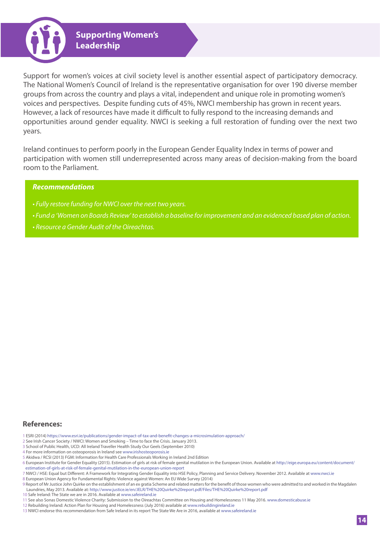

Support for women's voices at civil society level is another essential aspect of participatory democracy. The National Women's Council of Ireland is the representative organisation for over 190 diverse member groups from across the country and plays a vital, independent and unique role in promoting women's voices and perspectives. Despite funding cuts of 45%, NWCI membership has grown in recent years. However, a lack of resources have made it difficult to fully respond to the increasing demands and opportunities around gender equality. NWCI is seeking a full restoration of funding over the next two years.

Ireland continues to perform poorly in the European Gender Equality Index in terms of power and participation with women still underrepresented across many areas of decision-making from the board room to the Parliament.

## *Recommendations*

- *Fully restore funding for NWCI over the next two years.*
- *Fund a 'Women on Boards Review' to establish a baseline for improvement and an evidenced based plan of action.*
- *Resource a Gender Audit of the Oireachtas.*

# **References:**

- 1 ESRI (2014) https://www.esri.ie/publications/gender-impact-of-tax-and-benefit-changes-a-microsimulation-approach/
- 2 See Irish Cancer Society / NWCI: Women and Smoking Time to face the Crisis. January 2013.
- 3 School of Public Health, UCD: All Ireland Traveller Health Study Our Geels (September 2010)
- 4 For more information on osteoporosis in Ireland see www.irishosteoporosis.ie
- 5 Akidwa / RCSI (2013) FGM: Information for Health Care Professionals Working in Ireland 2nd Edition
- 6 European Institute for Gender Equality (2015). Estimation of girls at risk of female genital mutilation in the European Union. Available at http://eige.europa.eu/content/document/ estimation-of-girls-at-risk-of-female-genital-mutilation-in-the-european-union-report
- 7 NWCI / HSE: Equal but Different: A Framework for Integrating Gender Equality into HSE Policy, Planning and Service Delivery. November 2012. Available at www.nwci.ie
- 8 European Union Agency for Fundamental Rights: Violence against Women: An EU Wide Survey (2014)
- 9 Report of Mr Justice John Quirke on the establishment of an ex gratia Scheme and related matters for the benefit of those women who were admitted to and worked in the Magdalen Laundries, May 2013. Available at: http://www.justice.ie/en/JELR/THE%20Quirke%20report.pdf/Files/THE%20Quirke%20report.pdf
- 10 Safe Ireland: The State we are in 2016. Available at www.safeireland.ie
- 11 See also Sonas Domestic Violence Charity: Submission to the Oireachtas Committee on Housing and Homelessness 11 May 2016. www.domesticabuse.ie
- 12 Rebuilding Ireland: Action Plan for Housing and Homelessness (July 2016) available at www.rebuildingireland.ie
- 13 NWCI endorse this recommendation from Safe Ireland in its report The State We Are in 2016, available at www.safeireland.ie